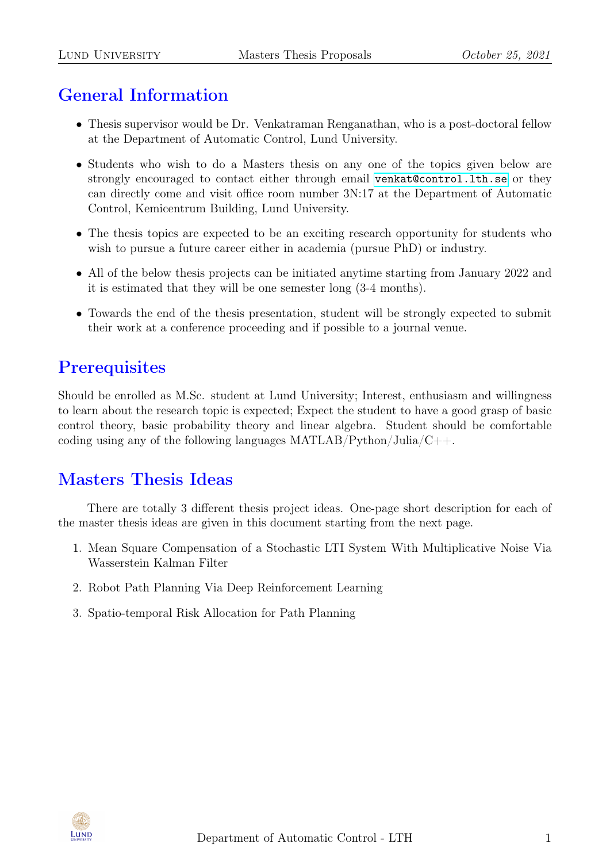# General Information

- Thesis supervisor would be Dr. Venkatraman Renganathan, who is a post-doctoral fellow at the Department of Automatic Control, Lund University.
- Students who wish to do a Masters thesis on any one of the topics given below are strongly encouraged to contact either through email <venkat@control.lth.se> or they can directly come and visit office room number 3N:17 at the Department of Automatic Control, Kemicentrum Building, Lund University.
- The thesis topics are expected to be an exciting research opportunity for students who wish to pursue a future career either in academia (pursue PhD) or industry.
- All of the below thesis projects can be initiated anytime starting from January 2022 and it is estimated that they will be one semester long (3-4 months).
- Towards the end of the thesis presentation, student will be strongly expected to submit their work at a conference proceeding and if possible to a journal venue.

# **Prerequisites**

Should be enrolled as M.Sc. student at Lund University; Interest, enthusiasm and willingness to learn about the research topic is expected; Expect the student to have a good grasp of basic control theory, basic probability theory and linear algebra. Student should be comfortable coding using any of the following languages  $\text{MATLAB}/\text{Python}/\text{Julia}/\text{C++}.$ 

## Masters Thesis Ideas

There are totally 3 different thesis project ideas. One-page short description for each of the master thesis ideas are given in this document starting from the next page.

- 1. Mean Square Compensation of a Stochastic LTI System With Multiplicative Noise Via Wasserstein Kalman Filter
- 2. Robot Path Planning Via Deep Reinforcement Learning
- 3. Spatio-temporal Risk Allocation for Path Planning

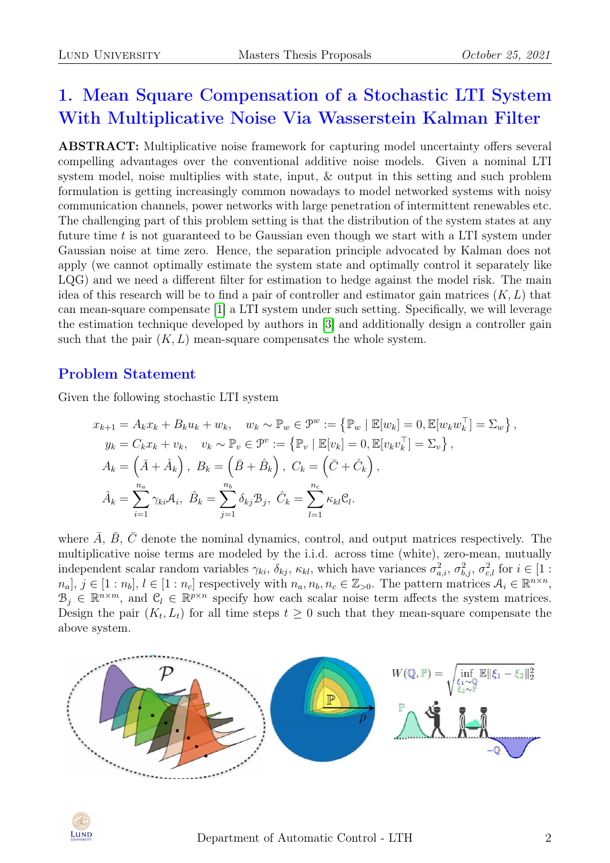# 1. Mean Square Compensation of a Stochastic LTI System With Multiplicative Noise Via Wasserstein Kalman Filter

ABSTRACT: Multiplicative noise framework for capturing model uncertainty offers several compelling advantages over the conventional additive noise models. Given a nominal LTI system model, noise multiplies with state, input, & output in this setting and such problem formulation is getting increasingly common nowadays to model networked systems with noisy communication channels, power networks with large penetration of intermittent renewables etc. The challenging part of this problem setting is that the distribution of the system states at any future time  $t$  is not guaranteed to be Gaussian even though we start with a LTI system under Gaussian noise at time zero. Hence, the separation principle advocated by Kalman does not apply (we cannot optimally estimate the system state and optimally control it separately like LQG) and we need a different filter for estimation to hedge against the model risk. The main idea of this research will be to find a pair of controller and estimator gain matrices  $(K, L)$  that can mean-square compensate [\[1\]](#page-4-0) a LTI system under such setting. Specifically, we will leverage the estimation technique developed by authors in [\[3\]](#page-4-1) and additionally design a controller gain such that the pair  $(K, L)$  mean-square compensates the whole system.

### Problem Statement

Given the following stochastic LTI system

$$
x_{k+1} = A_k x_k + B_k u_k + w_k, \quad w_k \sim \mathbb{P}_w \in \mathcal{P}^w := \left\{ \mathbb{P}_w \mid \mathbb{E}[w_k] = 0, \mathbb{E}[w_k w_k^\top] = \Sigma_w \right\},
$$
  
\n
$$
y_k = C_k x_k + v_k, \quad v_k \sim \mathbb{P}_v \in \mathcal{P}^v := \left\{ \mathbb{P}_v \mid \mathbb{E}[v_k] = 0, \mathbb{E}[v_k v_k^\top] = \Sigma_v \right\},
$$
  
\n
$$
A_k = \left( \bar{A} + \hat{A}_k \right), \quad B_k = \left( \bar{B} + \hat{B}_k \right), \quad C_k = \left( \bar{C} + \hat{C}_k \right),
$$
  
\n
$$
\hat{A}_k = \sum_{i=1}^{n_a} \gamma_{ki} A_i, \quad \hat{B}_k = \sum_{j=1}^{n_b} \delta_{kj} B_j, \quad \hat{C}_k = \sum_{l=1}^{n_c} \kappa_{kl} \mathcal{C}_l.
$$

where  $\overline{A}$ ,  $\overline{B}$ ,  $\overline{C}$  denote the nominal dynamics, control, and output matrices respectively. The multiplicative noise terms are modeled by the i.i.d. across time (white), zero-mean, mutually independent scalar random variables  $\gamma_{ki}$ ,  $\delta_{kj}$ ,  $\kappa_{kl}$ , which have variances  $\sigma_{a,i}^2$ ,  $\sigma_{b,j}^2$ ,  $\sigma_{c,l}^2$  for  $i \in [1:$  $n_a, j \in [1:n_b], l \in [1:n_c]$  respectively with  $n_a, n_b, n_c \in \mathbb{Z}_{>0}$ . The pattern matrices  $\mathcal{A}_i \in \mathbb{R}^{n \times n}$ ,  $B_j \in \mathbb{R}^{n \times m}$ , and  $C_l \in \mathbb{R}^{p \times n}$  specify how each scalar noise term affects the system matrices. Design the pair  $(K_t, L_t)$  for all time steps  $t \geq 0$  such that they mean-square compensate the above system.



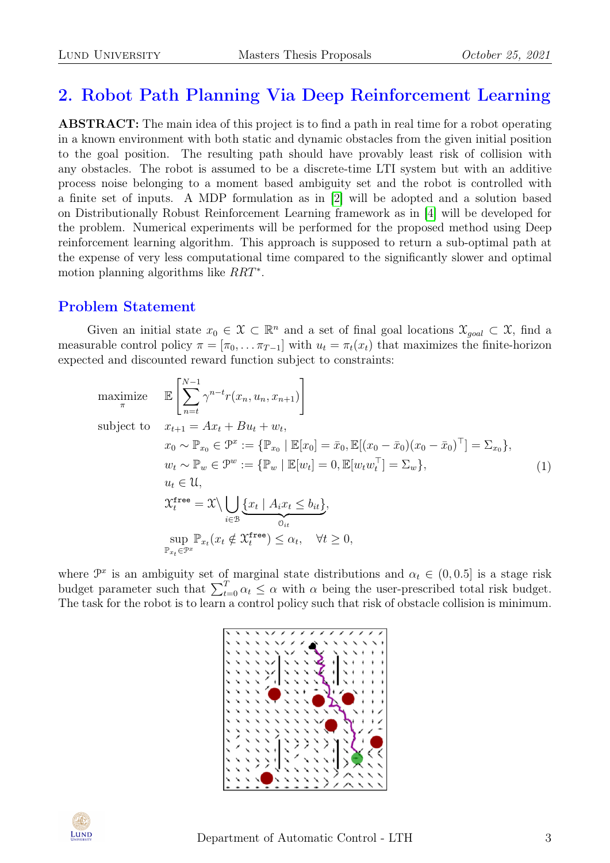## 2. Robot Path Planning Via Deep Reinforcement Learning

ABSTRACT: The main idea of this project is to find a path in real time for a robot operating in a known environment with both static and dynamic obstacles from the given initial position to the goal position. The resulting path should have provably least risk of collision with any obstacles. The robot is assumed to be a discrete-time LTI system but with an additive process noise belonging to a moment based ambiguity set and the robot is controlled with a finite set of inputs. A MDP formulation as in [\[2\]](#page-4-2) will be adopted and a solution based on Distributionally Robust Reinforcement Learning framework as in [\[4\]](#page-4-3) will be developed for the problem. Numerical experiments will be performed for the proposed method using Deep reinforcement learning algorithm. This approach is supposed to return a sub-optimal path at the expense of very less computational time compared to the significantly slower and optimal motion planning algorithms like  $RRT^*$ .

#### Problem Statement

Given an initial state  $x_0 \in \mathcal{X} \subset \mathbb{R}^n$  and a set of final goal locations  $\mathcal{X}_{goal} \subset \mathcal{X}$ , find a measurable control policy  $\pi = [\pi_0, \ldots \pi_{T-1}]$  with  $u_t = \pi_t(x_t)$  that maximizes the finite-horizon expected and discounted reward function subject to constraints:

maximize 
$$
\mathbb{E}\left[\sum_{n=t}^{N-1} \gamma^{n-t} r(x_n, u_n, x_{n+1})\right]
$$
  
\nsubject to 
$$
x_{t+1} = Ax_t + Bu_t + w_t,
$$

$$
x_0 \sim \mathbb{P}_{x_0} \in \mathcal{P}^x := \{\mathbb{P}_{x_0} \mid \mathbb{E}[x_0] = \bar{x}_0, \mathbb{E}[(x_0 - \bar{x}_0)(x_0 - \bar{x}_0)^\top] = \Sigma_{x_0}\},
$$

$$
w_t \sim \mathbb{P}_w \in \mathcal{P}^w := \{\mathbb{P}_w \mid \mathbb{E}[w_t] = 0, \mathbb{E}[w_t w_t^\top] = \Sigma_w\},
$$

$$
u_t \in \mathcal{U},
$$

$$
\mathcal{X}_t^{\text{free}} = \mathcal{X} \setminus \bigcup_{i \in \mathcal{B}} \{\underline{x}_t \mid A_i x_t \leq b_{it}\},
$$

$$
\sup_{\mathbb{P}_{x_t} \in \mathcal{P}^x} \mathbb{P}_{x_t}(x_t \notin \mathcal{X}_t^{\text{free}}) \leq \alpha_t, \quad \forall t \geq 0,
$$

$$
(1)
$$

where  $\mathcal{P}^x$  is an ambiguity set of marginal state distributions and  $\alpha_t \in (0, 0.5]$  is a stage risk budget parameter such that  $\sum_{t=0}^{T} \alpha_t \leq \alpha$  with  $\alpha$  being the user-prescribed total risk budget. The task for the robot is to learn a control policy such that risk of obstacle collision is minimum.



$$
\begin{array}{c}\n\hline\n\text{LUND} \\
\text{University}\n\end{array}
$$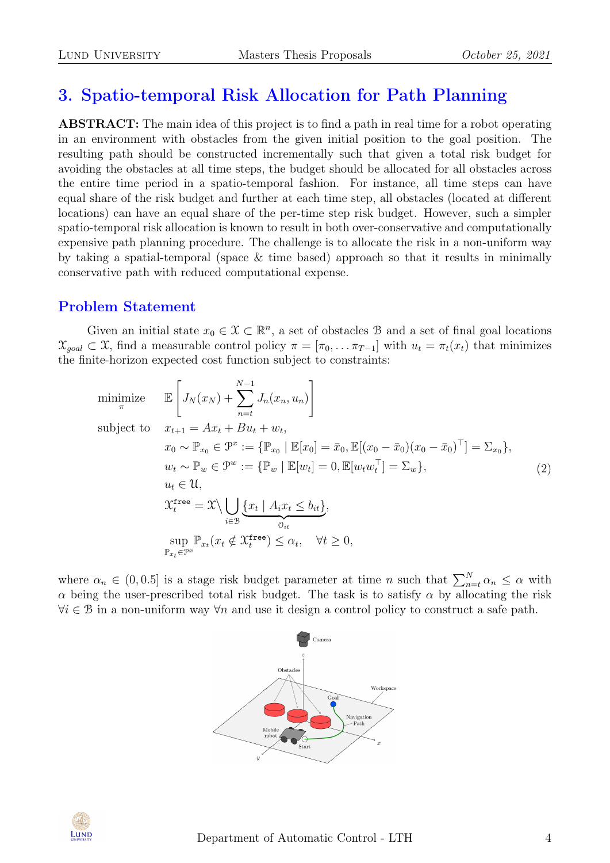# 3. Spatio-temporal Risk Allocation for Path Planning

ABSTRACT: The main idea of this project is to find a path in real time for a robot operating in an environment with obstacles from the given initial position to the goal position. The resulting path should be constructed incrementally such that given a total risk budget for avoiding the obstacles at all time steps, the budget should be allocated for all obstacles across the entire time period in a spatio-temporal fashion. For instance, all time steps can have equal share of the risk budget and further at each time step, all obstacles (located at different locations) can have an equal share of the per-time step risk budget. However, such a simpler spatio-temporal risk allocation is known to result in both over-conservative and computationally expensive path planning procedure. The challenge is to allocate the risk in a non-uniform way by taking a spatial-temporal (space & time based) approach so that it results in minimally conservative path with reduced computational expense.

## Problem Statement

Given an initial state  $x_0 \in \mathcal{X} \subset \mathbb{R}^n$ , a set of obstacles B and a set of final goal locations  $\mathcal{X}_{goal} \subset \mathcal{X}$ , find a measurable control policy  $\pi = [\pi_0, \dots \pi_{T-1}]$  with  $u_t = \pi_t(x_t)$  that minimizes the finite-horizon expected cost function subject to constraints:

minimize 
$$
\mathbb{E}\left[J_N(x_N) + \sum_{n=t}^{N-1} J_n(x_n, u_n)\right]
$$
  
\nsubject to  $x_{t+1} = Ax_t + Bu_t + w_t$ ,  
\n $x_0 \sim \mathbb{P}_{x_0} \in \mathcal{P}^x := \{\mathbb{P}_{x_0} \mid \mathbb{E}[x_0] = \bar{x}_0, \mathbb{E}[(x_0 - \bar{x}_0)(x_0 - \bar{x}_0)^\top] = \Sigma_{x_0}\},$   
\n $w_t \sim \mathbb{P}_w \in \mathcal{P}^w := \{\mathbb{P}_w \mid \mathbb{E}[w_t] = 0, \mathbb{E}[w_t w_t^\top] = \Sigma_w\},$   
\n $u_t \in \mathcal{U},$   
\n $\mathcal{X}_t^{\text{free}} = \mathcal{X} \setminus \bigcup_{i \in \mathcal{B}} \underbrace{\{x_t \mid A_i x_t \le b_{it}\}}_{0_{it}},$   
\n $\sup_{\mathbb{P}_{x_t} \in \mathcal{P}^x} \mathbb{P}_{x_t}(x_t \notin \mathcal{X}_t^{\text{free}}) \le \alpha_t, \quad \forall t \ge 0,$  (2)

where  $\alpha_n \in (0, 0.5]$  is a stage risk budget parameter at time n such that  $\sum_{n=t}^{N} \alpha_n \leq \alpha$  with  $\alpha$  being the user-prescribed total risk budget. The task is to satisfy  $\alpha$  by allocating the risk  $\forall i \in \mathcal{B}$  in a non-uniform way  $\forall n$  and use it design a control policy to construct a safe path.